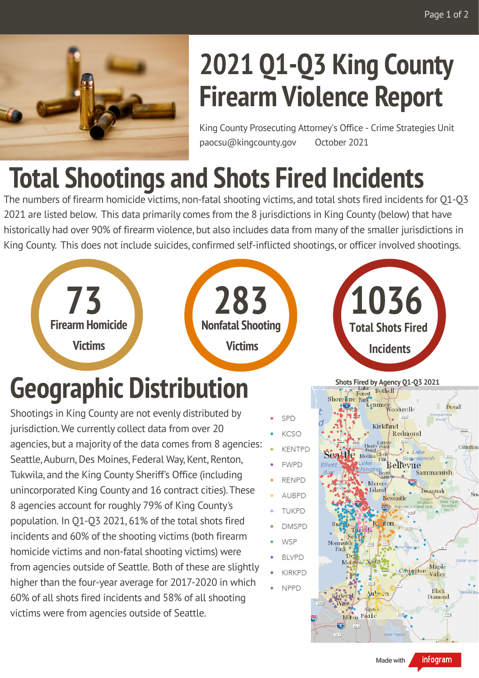

## **2021 Q1-Q3 King County Firearm Violence Report**

King County Prosecuting Attorney's Office - Crime Strategies Unit paocsu@kingcounty.gov October 2021

## **Total Shootings and Shots Fired Incidents**

The numbers of firearm homicide victims, non-fatal shooting victims, and total shots fired incidents for Q1-Q3 2021 are listed below. This data primarily comes from the 8 jurisdictions in King County (below) that have historically had over 90% of firearm violence, but also includes data from many of the smaller jurisdictions in King County. This does not include suicides, confirmed self-inflicted shootings, or officer involved shootings.



#### **Geographic Distribution**

Shootings in King County are not evenly distributed by jurisdiction.We currently collect data from over 20 agencies, but a majority of the data comes from 8 agencies: Seattle, Auburn, Des Moines, Federal Way, Kent, Renton, Tukwila, and the King County Sheriff's Office (including unincorporated King County and 16 contract cities).These 8 agencies account for roughly 79% of King County's population. In Q1-Q3 2021, 61% of the total shots fired incidents and 60% of the shooting victims (both firearm homicide victims and non-fatal shooting victims) were from agencies outside of Seattle. Both of these are slightly higher than the four-year average for 2017-2020 in which 60% of all shots fired incidents and 58% of all shooting victims were from agencies outside of Seattle.





Made with

infogram